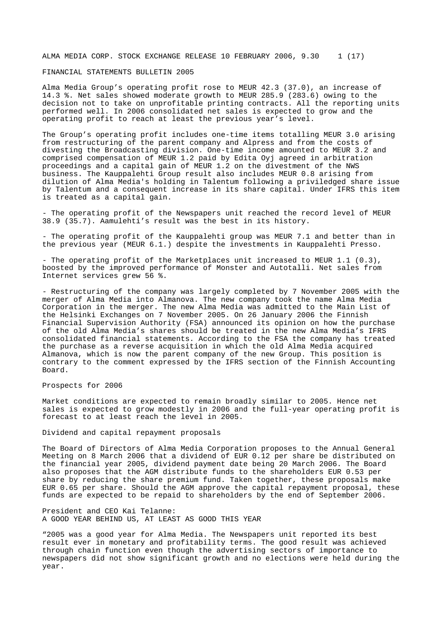ALMA MEDIA CORP. STOCK EXCHANGE RELEASE 10 FEBRUARY 2006, 9.30 1 (17)

# FINANCIAL STATEMENTS BULLETIN 2005

Alma Media Group's operating profit rose to MEUR 42.3 (37.0), an increase of 14.3 %. Net sales showed moderate growth to MEUR 285.9 (283.6) owing to the decision not to take on unprofitable printing contracts. All the reporting units performed well. In 2006 consolidated net sales is expected to grow and the operating profit to reach at least the previous year's level.

The Group's operating profit includes one-time items totalling MEUR 3.0 arising from restructuring of the parent company and Alpress and from the costs of divesting the Broadcasting division. One-time income amounted to MEUR 3.2 and comprised compensation of MEUR 1.2 paid by Edita Oyj agreed in arbitration proceedings and a capital gain of MEUR 1.2 on the divestment of the NWS business. The Kauppalehti Group result also includes MEUR 0.8 arising from dilution of Alma Media's holding in Talentum following a priviledged share issue by Talentum and a consequent increase in its share capital. Under IFRS this item is treated as a capital gain.

- The operating profit of the Newspapers unit reached the record level of MEUR 38.9 (35.7). Aamulehti's result was the best in its history.

- The operating profit of the Kauppalehti group was MEUR 7.1 and better than in the previous year (MEUR 6.1.) despite the investments in Kauppalehti Presso.

- The operating profit of the Marketplaces unit increased to MEUR 1.1 (0.3), boosted by the improved performance of Monster and Autotalli. Net sales from Internet services grew 56 %.

- Restructuring of the company was largely completed by 7 November 2005 with the merger of Alma Media into Almanova. The new company took the name Alma Media Corporation in the merger. The new Alma Media was admitted to the Main List of the Helsinki Exchanges on 7 November 2005. On 26 January 2006 the Finnish Financial Supervision Authority (FSA) announced its opinion on how the purchase of the old Alma Media's shares should be treated in the new Alma Media's IFRS consolidated financial statements. According to the FSA the company has treated the purchase as a reverse acquisition in which the old Alma Media acquired Almanova, which is now the parent company of the new Group. This position is contrary to the comment expressed by the IFRS section of the Finnish Accounting Board.

# Prospects for 2006

Market conditions are expected to remain broadly similar to 2005. Hence net sales is expected to grow modestly in 2006 and the full-year operating profit is forecast to at least reach the level in 2005.

Dividend and capital repayment proposals

The Board of Directors of Alma Media Corporation proposes to the Annual General Meeting on 8 March 2006 that a dividend of EUR 0.12 per share be distributed on the financial year 2005, dividend payment date being 20 March 2006. The Board also proposes that the AGM distribute funds to the shareholders EUR 0.53 per share by reducing the share premium fund. Taken together, these proposals make EUR 0.65 per share. Should the AGM approve the capital repayment proposal, these funds are expected to be repaid to shareholders by the end of September 2006.

President and CEO Kai Telanne: A GOOD YEAR BEHIND US, AT LEAST AS GOOD THIS YEAR

"2005 was a good year for Alma Media. The Newspapers unit reported its best result ever in monetary and profitability terms. The good result was achieved through chain function even though the advertising sectors of importance to newspapers did not show significant growth and no elections were held during the year.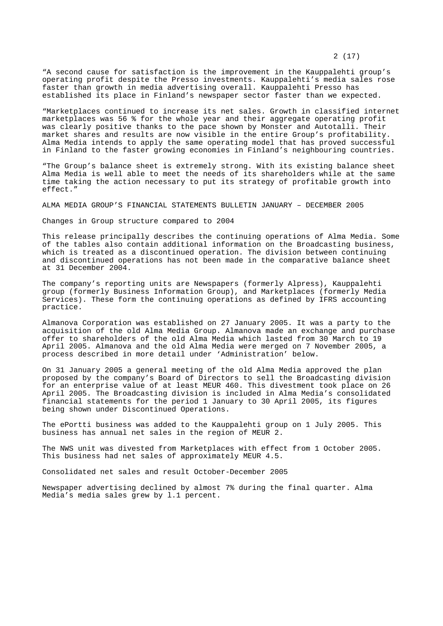"A second cause for satisfaction is the improvement in the Kauppalehti group's operating profit despite the Presso investments. Kauppalehti's media sales rose faster than growth in media advertising overall. Kauppalehti Presso has established its place in Finland's newspaper sector faster than we expected.

"Marketplaces continued to increase its net sales. Growth in classified internet marketplaces was 56 % for the whole year and their aggregate operating profit was clearly positive thanks to the pace shown by Monster and Autotalli. Their market shares and results are now visible in the entire Group's profitability. Alma Media intends to apply the same operating model that has proved successful in Finland to the faster growing economies in Finland's neighbouring countries.

"The Group's balance sheet is extremely strong. With its existing balance sheet Alma Media is well able to meet the needs of its shareholders while at the same time taking the action necessary to put its strategy of profitable growth into effect."

ALMA MEDIA GROUP'S FINANCIAL STATEMENTS BULLETIN JANUARY – DECEMBER 2005

Changes in Group structure compared to 2004

This release principally describes the continuing operations of Alma Media. Some of the tables also contain additional information on the Broadcasting business, which is treated as a discontinued operation. The division between continuing and discontinued operations has not been made in the comparative balance sheet at 31 December 2004.

The company's reporting units are Newspapers (formerly Alpress), Kauppalehti group (formerly Business Information Group), and Marketplaces (formerly Media Services). These form the continuing operations as defined by IFRS accounting practice.

Almanova Corporation was established on 27 January 2005. It was a party to the acquisition of the old Alma Media Group. Almanova made an exchange and purchase offer to shareholders of the old Alma Media which lasted from 30 March to 19 April 2005. Almanova and the old Alma Media were merged on 7 November 2005, a process described in more detail under 'Administration' below.

On 31 January 2005 a general meeting of the old Alma Media approved the plan proposed by the company's Board of Directors to sell the Broadcasting division for an enterprise value of at least MEUR 460. This divestment took place on 26 April 2005. The Broadcasting division is included in Alma Media's consolidated financial statements for the period 1 January to 30 April 2005, its figures being shown under Discontinued Operations.

The ePortti business was added to the Kauppalehti group on 1 July 2005. This business has annual net sales in the region of MEUR 2.

The NWS unit was divested from Marketplaces with effect from 1 October 2005. This business had net sales of approximately MEUR 4.5.

Consolidated net sales and result October-December 2005

Newspaper advertising declined by almost 7% during the final quarter. Alma Media's media sales grew by l.1 percent.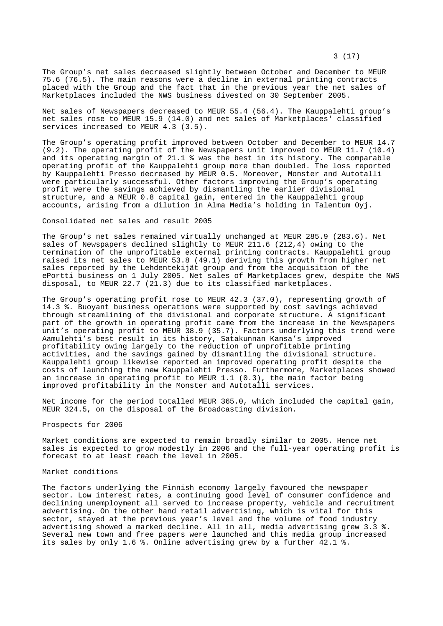The Group's net sales decreased slightly between October and December to MEUR 75.6 (76.5). The main reasons were a decline in external printing contracts placed with the Group and the fact that in the previous year the net sales of Marketplaces included the NWS business divested on 30 September 2005.

Net sales of Newspapers decreased to MEUR 55.4 (56.4). The Kauppalehti group's net sales rose to MEUR 15.9 (14.0) and net sales of Marketplaces' classified services increased to MEUR 4.3 (3.5).

The Group's operating profit improved between October and December to MEUR 14.7 (9.2). The operating profit of the Newspapers unit improved to MEUR 11.7 (10.4) and its operating margin of 21.1 % was the best in its history. The comparable operating profit of the Kauppalehti group more than doubled. The loss reported by Kauppalehti Presso decreased by MEUR 0.5. Moreover, Monster and Autotalli were particularly successful. Other factors improving the Group's operating profit were the savings achieved by dismantling the earlier divisional structure, and a MEUR 0.8 capital gain, entered in the Kauppalehti group accounts, arising from a dilution in Alma Media's holding in Talentum Oyj.

Consolidated net sales and result 2005

The Group's net sales remained virtually unchanged at MEUR 285.9 (283.6). Net sales of Newspapers declined slightly to MEUR 211.6 (212,4) owing to the termination of the unprofitable external printing contracts. Kauppalehti group raised its net sales to MEUR 53.8 (49.1) deriving this growth from higher net sales reported by the Lehdentekijät group and from the acquisition of the ePortti business on 1 July 2005. Net sales of Marketplaces grew, despite the NWS disposal, to MEUR 22.7 (21.3) due to its classified marketplaces.

The Group's operating profit rose to MEUR 42.3 (37.0), representing growth of 14.3 %. Buoyant business operations were supported by cost savings achieved through streamlining of the divisional and corporate structure. A significant part of the growth in operating profit came from the increase in the Newspapers unit's operating profit to MEUR 38.9 (35.7). Factors underlying this trend were Aamulehti's best result in its history, Satakunnan Kansa's improved profitability owing largely to the reduction of unprofitable printing activities, and the savings gained by dismantling the divisional structure. Kauppalehti group likewise reported an improved operating profit despite the costs of launching the new Kauppalehti Presso. Furthermore, Marketplaces showed an increase in operating profit to MEUR 1.1 (0.3), the main factor being improved profitability in the Monster and Autotalli services.

Net income for the period totalled MEUR 365.0, which included the capital gain, MEUR 324.5, on the disposal of the Broadcasting division.

#### Prospects for 2006

Market conditions are expected to remain broadly similar to 2005. Hence net sales is expected to grow modestly in 2006 and the full-year operating profit is forecast to at least reach the level in 2005.

### Market conditions

The factors underlying the Finnish economy largely favoured the newspaper sector. Low interest rates, a continuing good level of consumer confidence and declining unemployment all served to increase property, vehicle and recruitment advertising. On the other hand retail advertising, which is vital for this sector, stayed at the previous year's level and the volume of food industry advertising showed a marked decline. All in all, media advertising grew 3.3 %. Several new town and free papers were launched and this media group increased its sales by only 1.6 %. Online advertising grew by a further 42.1 %.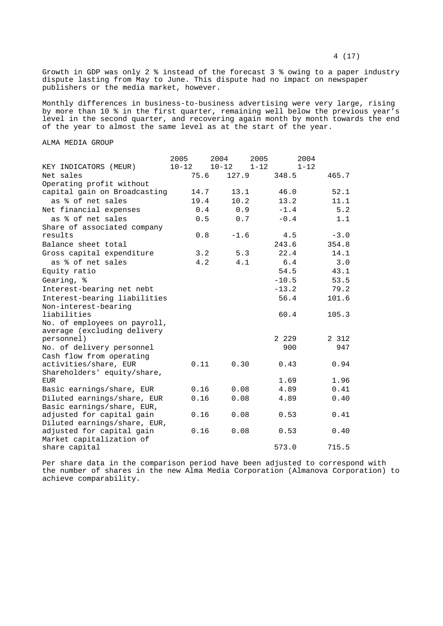Growth in GDP was only 2 % instead of the forecast 3 % owing to a paper industry dispute lasting from May to June. This dispute had no impact on newspaper publishers or the media market, however.

Monthly differences in business-to-business advertising were very large, rising by more than 10 % in the first quarter, remaining well below the previous year's level in the second quarter, and recovering again month by month towards the end of the year to almost the same level as at the start of the year.

# ALMA MEDIA GROUP

|                                           | 2005      | 2004      | 2005     | 2004     |
|-------------------------------------------|-----------|-----------|----------|----------|
| KEY INDICATORS (MEUR)                     | $10 - 12$ | $10 - 12$ | $1 - 12$ | $1 - 12$ |
| Net sales                                 | 75.6      | 127.9     | 348.5    | 465.7    |
| Operating profit without                  |           |           |          |          |
| capital gain on Broadcasting              | 14.7      | 13.1      | 46.0     | 52.1     |
| as % of net sales                         | 19.4      | 10.2      | 13.2     | 11.1     |
| Net financial expenses                    | 0.4       | 0.9       | $-1.4$   | 5.2      |
| as % of net sales                         | 0.5       | 0.7       | $-0.4$   | 1.1      |
| Share of associated company               |           |           |          |          |
| results                                   | 0.8       | $-1.6$    | 4.5      | $-3.0$   |
| Balance sheet total                       |           |           | 243.6    | 354.8    |
| Gross capital expenditure                 | 3.2       | 5.3       | 22.4     | 14.1     |
| as % of net sales                         | 4.2       | 4.1       | 6.4      | 3.0      |
| Equity ratio                              |           |           | 54.5     | 43.1     |
| Gearing, %                                |           |           | $-10.5$  | 53.5     |
| Interest-bearing net nebt                 |           |           | $-13.2$  | 79.2     |
| Interest-bearing liabilities              |           |           | 56.4     | 101.6    |
| Non-interest-bearing                      |           |           |          |          |
| liabilities                               |           |           | 60.4     | 105.3    |
| No. of employees on payroll,              |           |           |          |          |
| average (excluding delivery               |           |           |          |          |
| personnel)                                |           |           | 2 2 2 9  | 2 3 1 2  |
| No. of delivery personnel                 |           |           | 900      | 947      |
| Cash flow from operating                  |           |           |          |          |
| activities/share, EUR                     | 0.11      | 0.30      | 0.43     | 0.94     |
| Shareholders' equity/share,               |           |           |          |          |
| EUR                                       |           |           | 1.69     | 1.96     |
| Basic earnings/share, EUR                 | 0.16      | 0.08      | 4.89     | 0.41     |
| Diluted earnings/share, EUR               | 0.16      | 0.08      | 4.89     | 0.40     |
| Basic earnings/share, EUR,                |           |           |          |          |
| adjusted for capital gain                 | 0.16      | 0.08      | 0.53     | 0.41     |
| Diluted earnings/share, EUR,              |           |           |          |          |
| adjusted for capital gain                 | 0.16      | 0.08      | 0.53     | 0.40     |
| Market capitalization of<br>share capital |           |           | 573.0    | 715.5    |
|                                           |           |           |          |          |

Per share data in the comparison period have been adjusted to correspond with the number of shares in the new Alma Media Corporation (Almanova Corporation) to achieve comparability.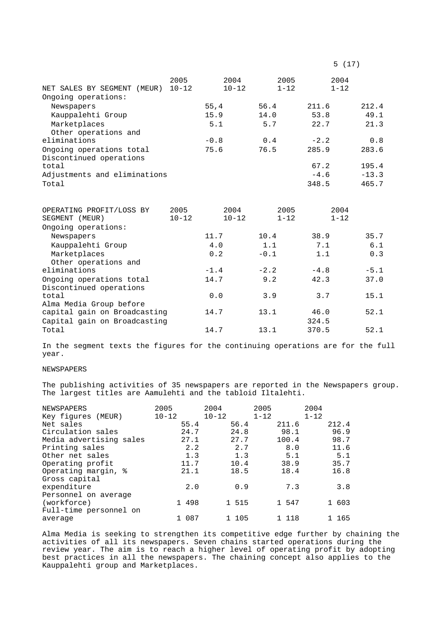| NET SALES BY SEGMENT (MEUR)  | 2005<br>$10 - 12$ | 2004<br>$10 - 12$ | 2005<br>$1 - 12$ | 2004<br>$1 - 12$ |         |
|------------------------------|-------------------|-------------------|------------------|------------------|---------|
| Ongoing operations:          |                   |                   |                  |                  |         |
| Newspapers                   |                   | 55, 4             | 56.4             | 211.6            | 212.4   |
| Kauppalehti Group            |                   | 15.9              | 14.0             | 53.8             | 49.1    |
| Marketplaces                 |                   | 5.1               | 5.7              | 22.7             | 21.3    |
| Other operations and         |                   |                   |                  |                  |         |
| eliminations                 |                   | $-0.8$            | 0.4              | $-2.2$           | 0.8     |
| Ongoing operations total     |                   | 75.6              | 76.5             | 285.9            | 283.6   |
| Discontinued operations      |                   |                   |                  |                  |         |
| total                        |                   |                   |                  | 67.2             | 195.4   |
| Adjustments and eliminations |                   |                   |                  | $-4.6$           | $-13.3$ |
| Total                        |                   |                   |                  | 348.5            | 465.7   |
|                              |                   |                   |                  |                  |         |
| OPERATING PROFIT/LOSS BY     | 2005              | 2004              | 2005             | 2004             |         |
| SEGMENT (MEUR)               | $10 - 12$         | $10 - 12$         | $1 - 12$         | $1 - 12$         |         |
| Ongoing operations:          |                   |                   |                  |                  |         |
| Newspapers                   |                   | 11.7              | 10.4             | 38.9             | 35.7    |
| Kauppalehti Group            |                   | 4.0               | 1.1              | 7.1              | 6.1     |
| Marketplaces                 |                   | 0.2               | $-0.1$           | 1.1              | 0.3     |
| Other operations and         |                   |                   |                  |                  |         |
| eliminations                 |                   | $-1.4$            | $-2.2$           | $-4.8$           | $-5.1$  |
| Ongoing operations total     |                   | 14.7              | 9.2              | 42.3             | 37.0    |
| Discontinued operations      |                   |                   |                  |                  |         |
| total                        |                   | 0.0               | 3.9              | 3.7              | 15.1    |
| Alma Media Group before      |                   |                   |                  |                  |         |
| capital gain on Broadcasting |                   | 14.7              | 13.1             | 46.0             | 52.1    |
| Capital gain on Broadcasting |                   |                   |                  | 324.5            |         |
| Total                        |                   | 14.7              | 13.1             | 370.5            | 52.1    |

In the segment texts the figures for the continuing operations are for the full year.

# NEWSPAPERS

The publishing activities of 35 newspapers are reported in the Newspapers group. The largest titles are Aamulehti and the tabloid Iltalehti.

| NEWSPAPERS              | 2005      | 2004      | 2005     | 2004     |
|-------------------------|-----------|-----------|----------|----------|
| Key figures (MEUR)      | $10 - 12$ | $10 - 12$ | $1 - 12$ | $1 - 12$ |
| Net sales               | 55.4      | 56.4      | 211.6    | 212.4    |
| Circulation sales       | 24.7      | 24.8      | 98.1     | 96.9     |
| Media advertising sales | 27.1      | 27.7      | 100.4    | 98.7     |
| Printing sales          | 2.2       | 2.7       | 8.0      | 11.6     |
| Other net sales         | 1.3       | 1.3       | 5.1      | 5.1      |
| Operating profit        | 11.7      | 10.4      | 38.9     | 35.7     |
| Operating margin, %     | 21.1      | 18.5      | 18.4     | 16.8     |
| Gross capital           |           |           |          |          |
| expenditure             | 2.0       | 0.9       | 7.3      | 3.8      |
| Personnel on average    |           |           |          |          |
| (workforce)             | 1 498     | 1 515     | 1 547    | 1 603    |
| Full-time personnel on  |           |           |          |          |
| average                 | 1 087     | 1 105     | 1 118    | 165      |

Alma Media is seeking to strengthen its competitive edge further by chaining the activities of all its newspapers. Seven chains started operations during the review year. The aim is to reach a higher level of operating profit by adopting best practices in all the newspapers. The chaining concept also applies to the Kauppalehti group and Marketplaces.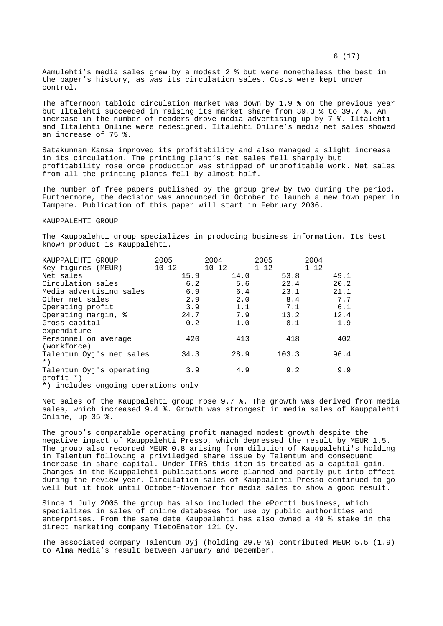Aamulehti's media sales grew by a modest 2 % but were nonetheless the best in the paper's history, as was its circulation sales. Costs were kept under control.

The afternoon tabloid circulation market was down by 1.9 % on the previous year but Iltalehti succeeded in raising its market share from 39.3 % to 39.7 %. An increase in the number of readers drove media advertising up by 7 %. Iltalehti and Iltalehti Online were redesigned. Iltalehti Online's media net sales showed an increase of 75 %.

Satakunnan Kansa improved its profitability and also managed a slight increase in its circulation. The printing plant's net sales fell sharply but profitability rose once production was stripped of unprofitable work. Net sales from all the printing plants fell by almost half.

The number of free papers published by the group grew by two during the period. Furthermore, the decision was announced in October to launch a new town paper in Tampere. Publication of this paper will start in February 2006.

#### KAUPPALEHTI GROUP

The Kauppalehti group specializes in producing business information. Its best known product is Kauppalehti.

| KAUPPALEHTI GROUP        | 2005      | 2004      | 2005     | 2004     |
|--------------------------|-----------|-----------|----------|----------|
| Key figures (MEUR)       | $10 - 12$ | $10 - 12$ | $1 - 12$ | $1 - 12$ |
| Net sales                | 15.9      | 14.0      | 53.8     | 49.1     |
| Circulation sales        | 6.2       | 5.6       | 22.4     | 20.2     |
| Media advertising sales  | 6.9       | 6.4       | 23.1     | 21.1     |
| Other net sales          | 2.9       | 2.0       | 8.4      | 7.7      |
| Operating profit         | 3.9       | 1.1       | 7.1      | 6.1      |
| Operating margin, %      | 24.7      | 7.9       | 13.2     | 12.4     |
| Gross capital            | 0.2       | 1.0       | 8.1      | 1.9      |
| expenditure              |           |           |          |          |
| Personnel on average     | 420       | 413       | 418      | 402      |
| (workforce)              |           |           |          |          |
| Talentum Oyj's net sales | 34.3      | 28.9      | 103.3    | 96.4     |
| $\star$ )                |           |           |          |          |
| Talentum Oyj's operating | 3.9       | 4.9       | 9.2      | 9.9      |
| profit *)                |           |           |          |          |

\*) includes ongoing operations only

Net sales of the Kauppalehti group rose 9.7 %. The growth was derived from media sales, which increased 9.4 %. Growth was strongest in media sales of Kauppalehti Online, up 35 %.

The group's comparable operating profit managed modest growth despite the negative impact of Kauppalehti Presso, which depressed the result by MEUR 1.5. The group also recorded MEUR 0.8 arising from dilution of Kauppalehti's holding in Talentum following a priviledged share issue by Talentum and consequent increase in share capital. Under IFRS this item is treated as a capital gain. Changes in the Kauppalehti publications were planned and partly put into effect during the review year. Circulation sales of Kauppalehti Presso continued to go well but it took until October-November for media sales to show a good result.

Since 1 July 2005 the group has also included the ePortti business, which specializes in sales of online databases for use by public authorities and enterprises. From the same date Kauppalehti has also owned a 49 % stake in the direct marketing company TietoEnator 121 Oy.

The associated company Talentum Oyj (holding 29.9 %) contributed MEUR 5.5 (1.9) to Alma Media's result between January and December.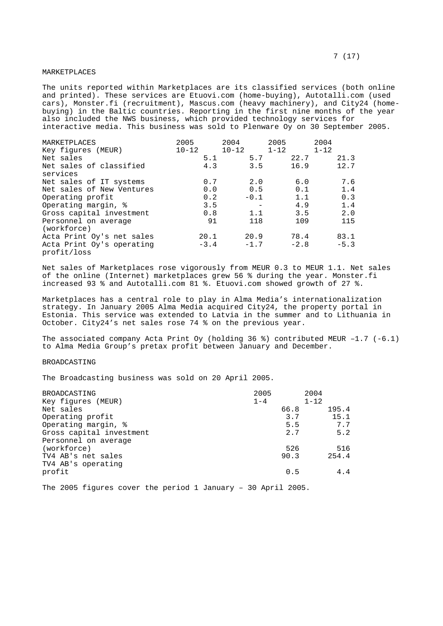## MARKETPLACES

The units reported within Marketplaces are its classified services (both online and printed). These services are Etuovi.com (home-buying), Autotalli.com (used cars), Monster.fi (recruitment), Mascus.com (heavy machinery), and City24 (homebuying) in the Baltic countries. Reporting in the first nine months of the year also included the NWS business, which provided technology services for interactive media. This business was sold to Plenware Oy on 30 September 2005.

| MARKETPLACES<br>Key figures (MEUR) | 2005<br>$10 - 12$ |        | 2004<br>$10 - 12$ |     | 2005<br>$1 - 12$ |        | 2004<br>$1 - 12$ |        |
|------------------------------------|-------------------|--------|-------------------|-----|------------------|--------|------------------|--------|
| Net sales                          |                   | 5.1    |                   | 5.7 |                  | 22.7   |                  | 21.3   |
| Net sales of classified            |                   | 4.3    |                   | 3.5 |                  | 16.9   |                  | 12.7   |
| services                           |                   |        |                   |     |                  |        |                  |        |
| Net sales of IT systems            |                   | 0.7    |                   | 2.0 |                  | 6.0    |                  | 7.6    |
| Net sales of New Ventures          |                   | 0.0    |                   | 0.5 |                  | 0.1    |                  | 1.4    |
| Operating profit                   |                   | 0.2    | $-0.1$            |     |                  | 1.1    |                  | 0.3    |
| Operating margin, %                |                   | 3.5    |                   |     |                  | 4.9    |                  | 1.4    |
| Gross capital investment           |                   | 0.8    |                   | 1.1 |                  | 3.5    |                  | 2.0    |
| Personnel on average               |                   | 91     |                   | 118 |                  | 109    |                  | 115    |
| (workforce)                        |                   |        |                   |     |                  |        |                  |        |
| Acta Print Oy's net sales          |                   | 20.1   | 20.9              |     |                  | 78.4   |                  | 83.1   |
| Acta Print Oy's operating          |                   | $-3.4$ | $-1.7$            |     |                  | $-2.8$ |                  | $-5.3$ |
| profit/loss                        |                   |        |                   |     |                  |        |                  |        |

Net sales of Marketplaces rose vigorously from MEUR 0.3 to MEUR 1.1. Net sales of the online (Internet) marketplaces grew 56 % during the year. Monster.fi increased 93 % and Autotalli.com 81 %. Etuovi.com showed growth of 27 %.

Marketplaces has a central role to play in Alma Media's internationalization strategy. In January 2005 Alma Media acquired City24, the property portal in Estonia. This service was extended to Latvia in the summer and to Lithuania in October. City24's net sales rose 74 % on the previous year.

The associated company Acta Print Oy (holding 36 %) contributed MEUR -1.7  $(-6.1)$ to Alma Media Group's pretax profit between January and December.

### BROADCASTING

The Broadcasting business was sold on 20 April 2005.

| BROADCASTING             | 2005    |      | 2004     |       |
|--------------------------|---------|------|----------|-------|
| Key figures (MEUR)       | $1 - 4$ |      | $1 - 12$ |       |
| Net sales                |         | 66.8 |          | 195.4 |
| Operating profit         |         | 3.7  |          | 15.1  |
| Operating margin, %      |         | 5.5  |          | 7.7   |
| Gross capital investment |         | 2.7  |          | 5.2   |
| Personnel on average     |         |      |          |       |
| (workforce)              |         | 526  |          | 516   |
| TV4 AB's net sales       |         | 90.3 |          | 254.4 |
| TV4 AB's operating       |         |      |          |       |
| profit                   |         | 0.5  |          | 4.4   |
|                          |         |      |          |       |

The 2005 figures cover the period 1 January – 30 April 2005.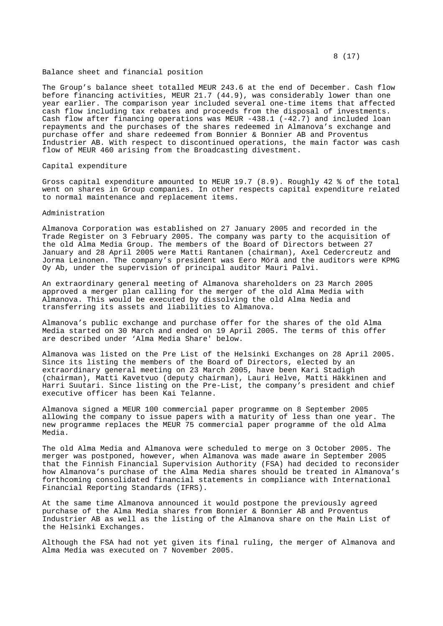#### Balance sheet and financial position

The Group's balance sheet totalled MEUR 243.6 at the end of December. Cash flow before financing activities, MEUR 21.7 (44.9), was considerably lower than one year earlier. The comparison year included several one-time items that affected cash flow including tax rebates and proceeds from the disposal of investments. Cash flow after financing operations was MEUR  $-438.1$  ( $-42.7$ ) and included loan repayments and the purchases of the shares redeemed in Almanova's exchange and purchase offer and share redeemed from Bonnier & Bonnier AB and Proventus Industrier AB. With respect to discontinued operations, the main factor was cash flow of MEUR 460 arising from the Broadcasting divestment.

### Capital expenditure

Gross capital expenditure amounted to MEUR 19.7 (8.9). Roughly 42 % of the total went on shares in Group companies. In other respects capital expenditure related to normal maintenance and replacement items.

#### Administration

Almanova Corporation was established on 27 January 2005 and recorded in the Trade Register on 3 February 2005. The company was party to the acquisition of the old Alma Media Group. The members of the Board of Directors between 27 January and 28 April 2005 were Matti Rantanen (chairman), Axel Cedercreutz and Jorma Leinonen. The company's president was Eero Mörä and the auditors were KPMG Oy Ab, under the supervision of principal auditor Mauri Palvi.

An extraordinary general meeting of Almanova shareholders on 23 March 2005 approved a merger plan calling for the merger of the old Alma Media with Almanova. This would be executed by dissolving the old Alma Nedia and transferring its assets and liabilities to Almanova.

Almanova's public exchange and purchase offer for the shares of the old Alma Media started on 30 March and ended on 19 April 2005. The terms of this offer are described under 'Alma Media Share' below.

Almanova was listed on the Pre List of the Helsinki Exchanges on 28 April 2005. Since its listing the members of the Board of Directors, elected by an extraordinary general meeting on 23 March 2005, have been Kari Stadigh (chairman), Matti Kavetvuo (deputy chairman), Lauri Helve, Matti Häkkinen and Harri Suutari. Since listing on the Pre-List, the company's president and chief executive officer has been Kai Telanne.

Almanova signed a MEUR 100 commercial paper programme on 8 September 2005 allowing the company to issue papers with a maturity of less than one year. The new programme replaces the MEUR 75 commercial paper programme of the old Alma Media.

The old Alma Media and Almanova were scheduled to merge on 3 October 2005. The merger was postponed, however, when Almanova was made aware in September 2005 that the Finnish Financial Supervision Authority (FSA) had decided to reconsider how Almanova's purchase of the Alma Media shares should be treated in Almanova's forthcoming consolidated financial statements in compliance with International Financial Reporting Standards (IFRS).

At the same time Almanova announced it would postpone the previously agreed purchase of the Alma Media shares from Bonnier & Bonnier AB and Proventus Industrier AB as well as the listing of the Almanova share on the Main List of the Helsinki Exchanges.

Although the FSA had not yet given its final ruling, the merger of Almanova and Alma Media was executed on 7 November 2005.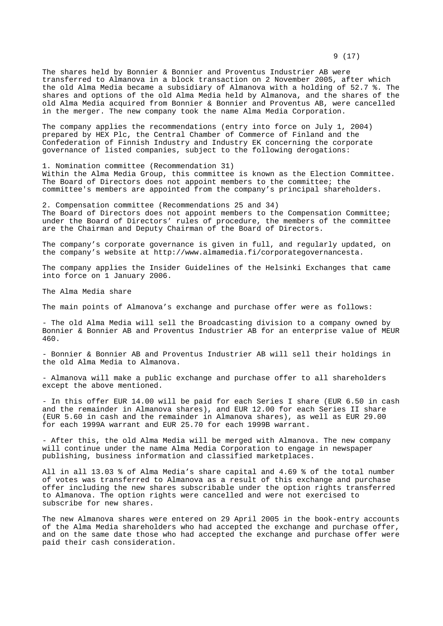The shares held by Bonnier & Bonnier and Proventus Industrier AB were transferred to Almanova in a block transaction on 2 November 2005, after which the old Alma Media became a subsidiary of Almanova with a holding of 52.7 %. The shares and options of the old Alma Media held by Almanova, and the shares of the old Alma Media acquired from Bonnier & Bonnier and Proventus AB, were cancelled in the merger. The new company took the name Alma Media Corporation.

The company applies the recommendations (entry into force on July 1, 2004) prepared by HEX Plc, the Central Chamber of Commerce of Finland and the Confederation of Finnish Industry and Industry EK concerning the corporate governance of listed companies, subject to the following derogations:

1. Nomination committee (Recommendation 31) Within the Alma Media Group, this committee is known as the Election Committee. The Board of Directors does not appoint members to the committee; the committee's members are appointed from the company's principal shareholders.

2. Compensation committee (Recommendations 25 and 34) The Board of Directors does not appoint members to the Compensation Committee; under the Board of Directors' rules of procedure, the members of the committee are the Chairman and Deputy Chairman of the Board of Directors.

The company's corporate governance is given in full, and regularly updated, on the company's website at http://www.almamedia.fi/corporategovernancesta.

The company applies the Insider Guidelines of the Helsinki Exchanges that came into force on 1 January 2006.

The Alma Media share

The main points of Almanova's exchange and purchase offer were as follows:

- The old Alma Media will sell the Broadcasting division to a company owned by Bonnier & Bonnier AB and Proventus Industrier AB for an enterprise value of MEUR 460.

- Bonnier & Bonnier AB and Proventus Industrier AB will sell their holdings in the old Alma Media to Almanova.

- Almanova will make a public exchange and purchase offer to all shareholders except the above mentioned.

- In this offer EUR 14.00 will be paid for each Series I share (EUR 6.50 in cash and the remainder in Almanova shares), and EUR 12.00 for each Series II share (EUR 5.60 in cash and the remainder in Almanova shares), as well as EUR 29.00 for each 1999A warrant and EUR 25.70 for each 1999B warrant.

- After this, the old Alma Media will be merged with Almanova. The new company will continue under the name Alma Media Corporation to engage in newspaper publishing, business information and classified marketplaces.

All in all 13.03 % of Alma Media's share capital and 4.69 % of the total number of votes was transferred to Almanova as a result of this exchange and purchase offer including the new shares subscribable under the option rights transferred to Almanova. The option rights were cancelled and were not exercised to subscribe for new shares.

The new Almanova shares were entered on 29 April 2005 in the book-entry accounts of the Alma Media shareholders who had accepted the exchange and purchase offer, and on the same date those who had accepted the exchange and purchase offer were paid their cash consideration.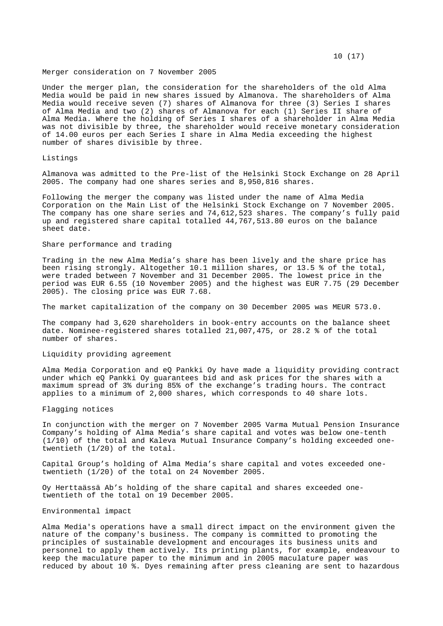#### Merger consideration on 7 November 2005

Under the merger plan, the consideration for the shareholders of the old Alma Media would be paid in new shares issued by Almanova. The shareholders of Alma Media would receive seven (7) shares of Almanova for three (3) Series I shares of Alma Media and two (2) shares of Almanova for each (1) Series II share of Alma Media. Where the holding of Series I shares of a shareholder in Alma Media was not divisible by three, the shareholder would receive monetary consideration of 14.00 euros per each Series I share in Alma Media exceeding the highest number of shares divisible by three.

## Listings

Almanova was admitted to the Pre-list of the Helsinki Stock Exchange on 28 April 2005. The company had one shares series and 8,950,816 shares.

Following the merger the company was listed under the name of Alma Media Corporation on the Main List of the Helsinki Stock Exchange on 7 November 2005. The company has one share series and 74,612,523 shares. The company's fully paid up and registered share capital totalled 44,767,513.80 euros on the balance sheet date.

# Share performance and trading

Trading in the new Alma Media's share has been lively and the share price has been rising strongly. Altogether 10.1 million shares, or 13.5 % of the total, were traded between 7 November and 31 December 2005. The lowest price in the period was EUR 6.55 (10 November 2005) and the highest was EUR 7.75 (29 December 2005). The closing price was EUR 7.68.

The market capitalization of the company on 30 December 2005 was MEUR 573.0.

The company had 3,620 shareholders in book-entry accounts on the balance sheet date. Nominee-registered shares totalled 21,007,475, or 28.2 % of the total number of shares.

## Liquidity providing agreement

Alma Media Corporation and eQ Pankki Oy have made a liquidity providing contract under which eQ Pankki Oy guarantees bid and ask prices for the shares with a maximum spread of 3% during 85% of the exchange's trading hours. The contract applies to a minimum of 2,000 shares, which corresponds to 40 share lots.

#### Flagging notices

In conjunction with the merger on 7 November 2005 Varma Mutual Pension Insurance Company's holding of Alma Media's share capital and votes was below one-tenth (1/10) of the total and Kaleva Mutual Insurance Company's holding exceeded onetwentieth (1/20) of the total.

Capital Group's holding of Alma Media's share capital and votes exceeded onetwentieth (1/20) of the total on 24 November 2005.

Oy Herttaässä Ab's holding of the share capital and shares exceeded onetwentieth of the total on 19 December 2005.

# Environmental impact

Alma Media's operations have a small direct impact on the environment given the nature of the company's business. The company is committed to promoting the principles of sustainable development and encourages its business units and personnel to apply them actively. Its printing plants, for example, endeavour to keep the maculature paper to the minimum and in 2005 maculature paper was reduced by about 10 %. Dyes remaining after press cleaning are sent to hazardous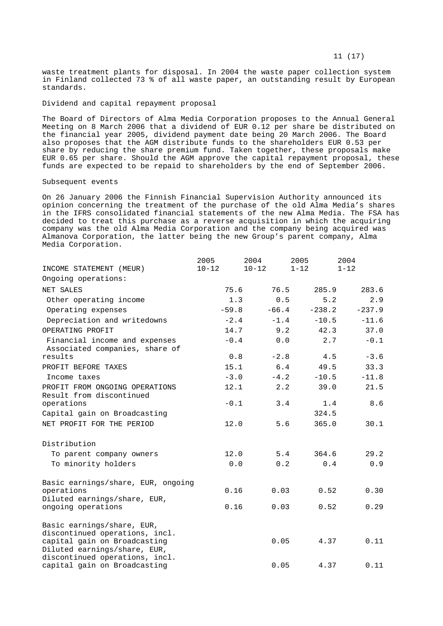waste treatment plants for disposal. In 2004 the waste paper collection system in Finland collected 73 % of all waste paper, an outstanding result by European standards.

# Dividend and capital repayment proposal

The Board of Directors of Alma Media Corporation proposes to the Annual General Meeting on 8 March 2006 that a dividend of EUR 0.12 per share be distributed on the financial year 2005, dividend payment date being 20 March 2006. The Board also proposes that the AGM distribute funds to the shareholders EUR 0.53 per share by reducing the share premium fund. Taken together, these proposals make EUR 0.65 per share. Should the AGM approve the capital repayment proposal, these funds are expected to be repaid to shareholders by the end of September 2006.

## Subsequent events

On 26 January 2006 the Finnish Financial Supervision Authority announced its opinion concerning the treatment of the purchase of the old Alma Media's shares in the IFRS consolidated financial statements of the new Alma Media. The FSA has decided to treat this purchase as a reverse acquisition in which the acquiring company was the old Alma Media Corporation and the company being acquired was Almanova Corporation, the latter being the new Group's parent company, Alma Media Corporation.

|                                                              | 2005      | 2004      |         | 2005     | 2004     |
|--------------------------------------------------------------|-----------|-----------|---------|----------|----------|
| INCOME STATEMENT (MEUR)                                      | $10 - 12$ | $10 - 12$ |         | $1 - 12$ | $1 - 12$ |
| Ongoing operations:                                          |           |           |         |          |          |
| NET SALES                                                    | 75.6      |           | 76.5    | 285.9    | 283.6    |
| Other operating income                                       |           | 1.3       | 0.5     | 5.2      | 2.9      |
| Operating expenses                                           | $-59.8$   |           | $-66.4$ | $-238.2$ | $-237.9$ |
| Depreciation and writedowns                                  |           | $-2.4$    | $-1.4$  | $-10.5$  | $-11.6$  |
| OPERATING PROFIT                                             |           | 14.7      | 9.2     | 42.3     | 37.0     |
| Financial income and expenses                                |           | $-0.4$    | 0.0     | 2.7      | $-0.1$   |
| Associated companies, share of                               |           |           |         |          |          |
| results                                                      |           | 0.8       | $-2.8$  | 4.5      | $-3.6$   |
| PROFIT BEFORE TAXES                                          |           | 15.1      | 6.4     | 49.5     | 33.3     |
| Income taxes                                                 |           | $-3.0$    | $-4.2$  | $-10.5$  | $-11.8$  |
| PROFIT FROM ONGOING OPERATIONS                               |           | 12.1      | 2.2     | 39.0     | 21.5     |
| Result from discontinued<br>operations                       | $-0.1$    |           | 3.4     | 1.4      | 8.6      |
| Capital gain on Broadcasting                                 |           |           |         | 324.5    |          |
| NET PROFIT FOR THE PERIOD                                    | 12.0      |           | 5.6     | 365.0    | 30.1     |
|                                                              |           |           |         |          |          |
| Distribution                                                 |           |           |         |          |          |
| To parent company owners                                     | 12.0      |           | 5.4     | 364.6    | 29.2     |
| To minority holders                                          |           | 0.0       | 0.2     | 0.4      | 0.9      |
| Basic earnings/share, EUR, ongoing                           |           |           |         |          |          |
| operations                                                   | 0.16      |           | 0.03    | 0.52     | 0.30     |
| Diluted earnings/share, EUR,                                 |           |           |         |          |          |
| ongoing operations                                           | 0.16      |           | 0.03    | 0.52     | 0.29     |
| Basic earnings/share, EUR,                                   |           |           |         |          |          |
| discontinued operations, incl.                               |           |           |         |          |          |
| capital gain on Broadcasting<br>Diluted earnings/share, EUR, |           |           | 0.05    | 4.37     | 0.11     |
| discontinued operations, incl.                               |           |           |         |          |          |
| capital gain on Broadcasting                                 |           |           | 0.05    | 4.37     | 0.11     |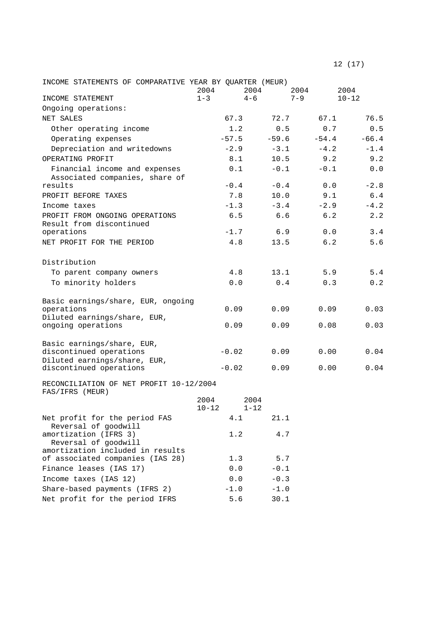| INCOME STATEMENTS OF COMPARATIVE YEAR BY QUARTER (MEUR)                               | 2004              |         | 2004             | 2004    | 2004      |
|---------------------------------------------------------------------------------------|-------------------|---------|------------------|---------|-----------|
| INCOME STATEMENT                                                                      | $1 - 3$           |         | $4 - 6$          | $7 - 9$ | $10 - 12$ |
| Ongoing operations:                                                                   |                   |         |                  |         |           |
| NET SALES                                                                             |                   | 67.3    | 72.7             | 67.1    | 76.5      |
| Other operating income                                                                |                   | 1.2     | 0.5              | 0.7     | 0.5       |
| Operating expenses                                                                    |                   | $-57.5$ | $-59.6$          | $-54.4$ | $-66.4$   |
| Depreciation and writedowns                                                           |                   | $-2.9$  | $-3.1$           | $-4.2$  | $-1.4$    |
| OPERATING PROFIT                                                                      |                   | 8.1     | 10.5             | 9.2     | 9.2       |
| Financial income and expenses<br>Associated companies, share of                       |                   | 0.1     | $-0.1$           | $-0.1$  | 0.0       |
| results                                                                               |                   | $-0.4$  | $-0.4$           | 0.0     | $-2.8$    |
| PROFIT BEFORE TAXES                                                                   |                   | 7.8     | 10.0             | 9.1     | 6.4       |
| Income taxes                                                                          |                   | $-1.3$  | $-3.4$           | $-2.9$  | $-4.2$    |
| PROFIT FROM ONGOING OPERATIONS<br>Result from discontinued                            |                   | 6.5     | 6.6              | 6.2     | 2.2       |
| operations                                                                            |                   | $-1.7$  | 6.9              | 0.0     | 3.4       |
| NET PROFIT FOR THE PERIOD                                                             |                   | 4.8     | 13.5             | 6.2     | 5.6       |
| Distribution                                                                          |                   |         |                  |         |           |
| To parent company owners                                                              |                   | 4.8     | 13.1             | 5.9     | 5.4       |
| To minority holders                                                                   |                   | 0.0     | 0.4              | 0.3     | 0.2       |
| Basic earnings/share, EUR, ongoing<br>operations                                      |                   | 0.09    | 0.09             | 0.09    | 0.03      |
| Diluted earnings/share, EUR,<br>ongoing operations                                    |                   | 0.09    | 0.09             | 0.08    | 0.03      |
| Basic earnings/share, EUR,<br>discontinued operations<br>Diluted earnings/share, EUR, |                   | $-0.02$ | 0.09             | 0.00    | 0.04      |
| discontinued operations                                                               |                   | $-0.02$ | 0.09             | 0.00    | 0.04      |
| RECONCILIATION OF NET PROFIT 10-12/2004<br>FAS/IFRS (MEUR)                            |                   |         |                  |         |           |
|                                                                                       | 2004<br>$10 - 12$ |         | 2004<br>$1 - 12$ |         |           |
| Net profit for the period FAS<br>Reversal of goodwill                                 |                   | 4.1     | 21.1             |         |           |
| amortization (IFRS 3)<br>Reversal of goodwill                                         |                   | 1.2     | 4.7              |         |           |
| amortization included in results<br>of associated companies (IAS 28)                  |                   | 1.3     | 5.7              |         |           |
| Finance leases (IAS 17)                                                               |                   | 0.0     | $-0.1$           |         |           |
| Income taxes (IAS 12)                                                                 |                   | 0.0     | $-0.3$           |         |           |
| Share-based payments (IFRS 2)                                                         |                   | $-1.0$  | $-1.0$           |         |           |
| Net profit for the period IFRS                                                        |                   | 5.6     | 30.1             |         |           |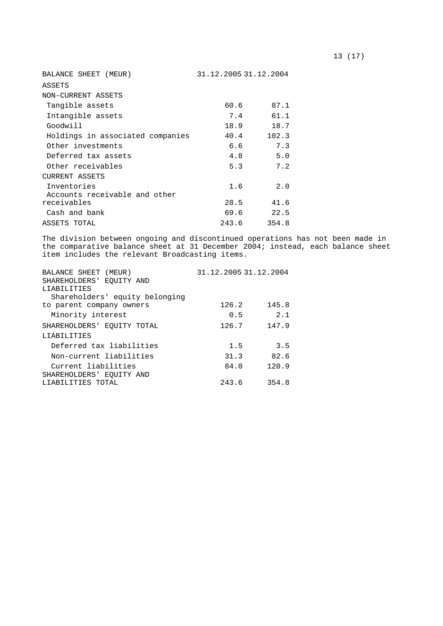| BALANCE SHEET (MEUR)             | 31.12.2005 31.12.2004 |       |  |  |
|----------------------------------|-----------------------|-------|--|--|
| ASSETS                           |                       |       |  |  |
| NON-CURRENT ASSETS               |                       |       |  |  |
| Tangible assets                  | 60.6                  | 87.1  |  |  |
| Intangible assets                | 7.4                   | 61.1  |  |  |
| Goodwill                         | 18.9                  | 18.7  |  |  |
| Holdings in associated companies | 40.4                  | 102.3 |  |  |
| Other investments                | 6.6                   | 7.3   |  |  |
| Deferred tax assets              | 4.8                   | 5.0   |  |  |
| Other receivables                | 5.3                   | 7.2   |  |  |
| CURRENT ASSETS                   |                       |       |  |  |
| Inventories                      | 1.6                   | 2.0   |  |  |
| Accounts receivable and other    |                       |       |  |  |
| receivables                      | 28.5                  | 41.6  |  |  |
| Cash and bank                    | 69.6                  | 22.5  |  |  |
| ASSETS TOTAL                     | 243.6                 | 354.8 |  |  |

The division between ongoing and discontinued operations has not been made in the comparative balance sheet at 31 December 2004; instead, each balance sheet item includes the relevant Broadcasting items.

| BALANCE SHEET (MEUR)           | 31.12.2005 31.12.2004 |       |
|--------------------------------|-----------------------|-------|
| SHAREHOLDERS' EOUITY AND       |                       |       |
| LIABILITIES                    |                       |       |
| Shareholders' equity belonging |                       |       |
| to parent company owners       | 126.2                 | 145.8 |
| Minority interest              | 0.5                   | 2.1   |
| SHAREHOLDERS' EOUITY TOTAL     | 126.7                 | 147.9 |
| LIABILITIES                    |                       |       |
| Deferred tax liabilities       | 1.5                   | 3.5   |
| Non-current liabilities        | 31.3                  | 82.6  |
| Current liabilities            | 84.0                  | 120.9 |
| SHAREHOLDERS' EQUITY AND       |                       |       |
| LIABILITIES TOTAL              | 243.6                 | 354.8 |
|                                |                       |       |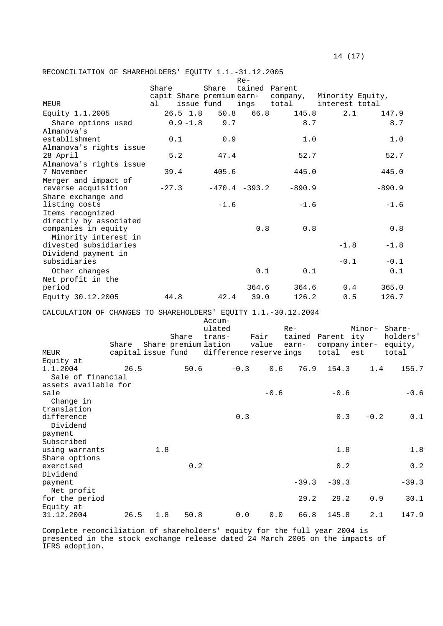$14 \t(17)$ 

RECONCILIATION OF SHAREHOLDERS' EQUITY 1.1.-31.12.2005

|                                                                |       |         |             |                           | $Re-$                 |                                            |                   |                        |          |
|----------------------------------------------------------------|-------|---------|-------------|---------------------------|-----------------------|--------------------------------------------|-------------------|------------------------|----------|
|                                                                |       | Share   |             | Share                     | tained Parent         |                                            |                   |                        |          |
| MEUR                                                           |       | al      | issue fund  | capit Share premium earn- | ings total            | company,                                   | interest total    | Minority Equity,       |          |
| Equity 1.1.2005                                                |       |         | $26.5$ 1.8  | 50.8                      | 66.8                  | 145.8                                      | 2.1               | 147.9                  |          |
| Share options used                                             |       |         | $0.9 - 1.8$ | 9.7                       |                       | 8.7                                        |                   |                        | 8.7      |
| Almanova's                                                     |       |         |             |                           |                       |                                            |                   |                        |          |
| establishment                                                  |       |         | 0.1         | 0.9                       |                       | 1.0                                        |                   |                        | 1.0      |
| Almanova's rights issue                                        |       |         |             |                           |                       |                                            |                   |                        |          |
| 28 April                                                       |       |         | 5.2         | 47.4                      |                       | 52.7                                       |                   |                        | 52.7     |
| Almanova's rights issue                                        |       |         |             |                           |                       |                                            |                   |                        |          |
| 7 November                                                     |       | 39.4    |             | 405.6                     |                       | 445.0                                      |                   | 445.0                  |          |
| Merger and impact of                                           |       |         |             |                           |                       |                                            |                   |                        |          |
| reverse acquisition                                            |       | $-27.3$ |             |                           | $-470.4 -393.2$       | $-890.9$                                   |                   | $-890.9$               |          |
| Share exchange and<br>listing costs                            |       |         |             | $-1.6$                    |                       | $-1.6$                                     |                   | $-1.6$                 |          |
| Items recognized                                               |       |         |             |                           |                       |                                            |                   |                        |          |
| directly by associated<br>companies in equity                  |       |         |             |                           | 0.8                   | 0.8                                        |                   |                        | 0.8      |
| Minority interest in                                           |       |         |             |                           |                       |                                            |                   |                        |          |
| divested subsidiaries                                          |       |         |             |                           |                       |                                            | $-1.8$            |                        | $-1.8$   |
| Dividend payment in                                            |       |         |             |                           |                       |                                            |                   |                        |          |
| subsidiaries                                                   |       |         |             |                           |                       |                                            | $-0.1$            |                        | $-0.1$   |
| Other changes                                                  |       |         |             |                           | 0.1                   | 0.1                                        |                   |                        | 0.1      |
| Net profit in the                                              |       |         |             |                           |                       |                                            |                   |                        |          |
| period                                                         |       |         |             |                           | 364.6                 | 364.6                                      |                   | 0.4<br>365.0           |          |
| Equity 30.12.2005                                              |       | 44.8    |             | 42.4                      | 39.0                  | 126.2                                      | 0.5               | 126.7                  |          |
|                                                                |       |         |             |                           |                       |                                            |                   |                        |          |
| CALCULATION OF CHANGES TO SHAREHOLDERS' EQUITY 1.1.-30.12.2004 |       |         |             | Accum-                    |                       |                                            |                   |                        |          |
|                                                                |       |         |             | ulated                    |                       | $Re-$                                      |                   | Minor- Share-          |          |
|                                                                |       |         | Share       | trans-                    | Fair                  |                                            | tained Parent ity |                        | holders' |
|                                                                | Share |         |             | Share premium lation      |                       | value earn-                                |                   | company inter- equity, |          |
| MEUR                                                           |       |         |             |                           |                       | capital issue fund difference reserve ings | total             | est                    | total    |
| Equity at                                                      |       |         |             |                           |                       |                                            |                   |                        |          |
| 1.1.2004                                                       | 26.5  |         | 50.6        |                           | $-0.3$                | 0.6<br>76.9                                | 154.3             | 1.4                    | 155.7    |
| Sale of financial                                              |       |         |             |                           |                       |                                            |                   |                        |          |
| assets available for<br>sale                                   |       |         |             |                           |                       | $-0.6$                                     | $-0.6$            |                        | $-0.6$   |
| Change in                                                      |       |         |             |                           |                       |                                            |                   |                        |          |
| translation                                                    |       |         |             |                           |                       |                                            |                   |                        |          |
| difference                                                     |       |         |             |                           | $0.3$                 |                                            | 0.3               | $-0.2$                 | $0\,.1$  |
| Dividend                                                       |       |         |             |                           |                       |                                            |                   |                        |          |
| payment                                                        |       |         |             |                           |                       |                                            |                   |                        |          |
| Subscribed                                                     |       |         |             |                           |                       |                                            |                   |                        |          |
| using warrants                                                 |       | 1.8     |             |                           |                       |                                            | 1.8               |                        | 1.8      |
| Share options                                                  |       |         |             |                           |                       |                                            |                   |                        |          |
| exercised                                                      |       |         | $0.2$       |                           |                       |                                            | 0.2               |                        | $0.2$    |
| Dividend<br>payment                                            |       |         |             |                           |                       | $-39.3$                                    | $-39.3$           |                        | $-39.3$  |
| Net profit                                                     |       |         |             |                           |                       |                                            |                   |                        |          |
| for the period                                                 |       |         |             |                           |                       | 29.2                                       | 29.2              | $0.9$                  | 30.1     |
| Equity at                                                      |       |         |             |                           |                       |                                            |                   |                        |          |
| 31.12.2004                                                     | 26.5  | $1.8\,$ | 50.8        |                           | ${\bf 0}$ . ${\bf 0}$ | ${\bf 0}$ . ${\bf 0}$<br>66.8              | 145.8             | 2.1                    | 147.9    |

Complete reconciliation of shareholders' equity for the full year 2004 is presented in the stock exchange release dated 24 March 2005 on the impacts of IFRS adoption.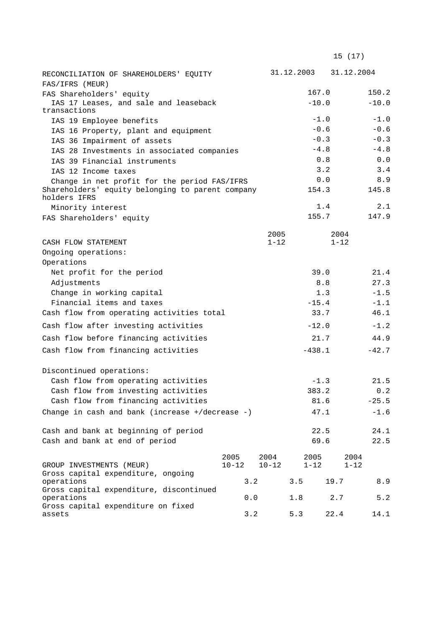| RECONCILIATION OF SHAREHOLDERS' EQUITY                                                                           |           |     |           | 31.12.2003 31.12.2004 |              |          |          |              |
|------------------------------------------------------------------------------------------------------------------|-----------|-----|-----------|-----------------------|--------------|----------|----------|--------------|
| FAS/IFRS (MEUR)                                                                                                  |           |     |           |                       |              |          |          |              |
| FAS Shareholders' equity                                                                                         |           |     |           |                       | 167.0        |          |          | 150.2        |
| IAS 17 Leases, and sale and leaseback                                                                            |           |     |           |                       | $-10.0$      |          |          | $-10.0$      |
| transactions                                                                                                     |           |     |           |                       |              |          |          |              |
| IAS 19 Employee benefits                                                                                         |           |     |           |                       | $-1.0$       |          |          | $-1.0$       |
| IAS 16 Property, plant and equipment                                                                             |           |     |           |                       | $-0.6$       |          |          | $-0.6$       |
| IAS 36 Impairment of assets                                                                                      |           |     |           |                       | $-0.3$       |          |          | $-0.3$       |
| IAS 28 Investments in associated companies                                                                       |           |     |           |                       | $-4.8$       |          |          | $-4.8$       |
| IAS 39 Financial instruments                                                                                     |           |     |           |                       | 0.8          |          |          | 0.0          |
| IAS 12 Income taxes                                                                                              |           |     |           |                       | 3.2          |          |          | 3.4          |
| Change in net profit for the period FAS/IFRS<br>Shareholders' equity belonging to parent company<br>holders IFRS |           |     |           |                       | 0.0<br>154.3 |          |          | 8.9<br>145.8 |
| Minority interest                                                                                                |           |     |           |                       | 1.4          |          |          | 2.1          |
| FAS Shareholders' equity                                                                                         |           |     |           |                       | 155.7        |          |          | 147.9        |
|                                                                                                                  |           |     | 2005      |                       |              | 2004     |          |              |
| CASH FLOW STATEMENT                                                                                              |           |     | $1 - 12$  |                       |              | $1 - 12$ |          |              |
| Ongoing operations:                                                                                              |           |     |           |                       |              |          |          |              |
| Operations                                                                                                       |           |     |           |                       |              |          |          |              |
| Net profit for the period                                                                                        |           |     |           |                       | 39.0         |          |          | 21.4         |
| Adjustments                                                                                                      |           |     |           |                       | 8.8          |          |          | 27.3         |
| Change in working capital                                                                                        |           |     |           |                       | 1.3          |          |          | $-1.5$       |
| Financial items and taxes                                                                                        |           |     | $-15.4$   |                       |              |          | $-1.1$   |              |
| Cash flow from operating activities total                                                                        |           |     |           |                       | 33.7         |          |          | 46.1         |
| Cash flow after investing activities                                                                             |           |     |           |                       | $-12.0$      |          |          | $-1.2$       |
| Cash flow before financing activities                                                                            |           |     |           |                       | 21.7         |          |          | 44.9         |
| Cash flow from financing activities                                                                              |           |     |           |                       | $-438.1$     |          |          | $-42.7$      |
| Discontinued operations:                                                                                         |           |     |           |                       |              |          |          |              |
| Cash flow from operating activities                                                                              |           |     |           |                       | $-1.3$       |          |          | 21.5         |
| Cash flow from investing activities                                                                              |           |     |           |                       | 383.2        |          |          | 0.2          |
| Cash flow from financing activities                                                                              |           |     |           |                       | 81.6         |          |          |              |
|                                                                                                                  |           |     |           |                       |              |          |          | $-25.5$      |
| Change in cash and bank (increase +/decrease -)                                                                  |           |     |           |                       | 47.1         |          |          | $-1.6$       |
| Cash and bank at beginning of period                                                                             |           |     |           |                       | 22.5         |          |          | 24.1         |
| Cash and bank at end of period                                                                                   |           |     |           |                       | 69.6         |          |          | 22.5         |
|                                                                                                                  |           |     |           |                       |              |          |          |              |
|                                                                                                                  | 2005      |     | 2004      |                       | 2005         |          | 2004     |              |
| GROUP INVESTMENTS (MEUR)                                                                                         | $10 - 12$ |     | $10 - 12$ |                       | $1 - 12$     |          | $1 - 12$ |              |
| Gross capital expenditure, ongoing<br>operations                                                                 |           | 3.2 |           | 3.5                   |              | 19.7     |          | 8.9          |
| Gross capital expenditure, discontinued                                                                          |           |     |           |                       |              |          |          |              |
| operations<br>Gross capital expenditure on fixed                                                                 |           | 0.0 |           | 1.8                   |              | 2.7      |          | 5.2          |
| assets                                                                                                           | 3.2       |     |           | 5.3                   |              | 22.4     |          | 14.1         |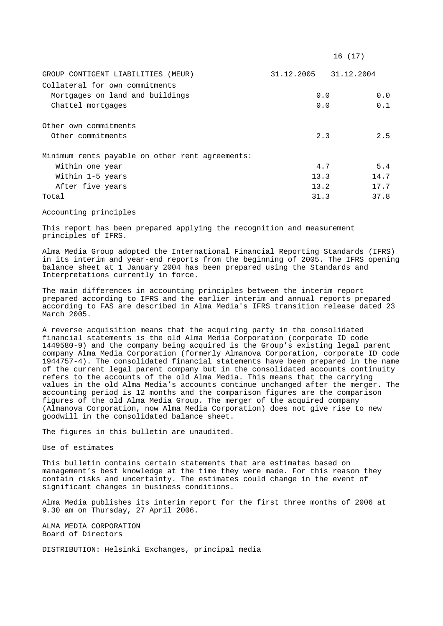|                                                 |                       | 16 (17) |
|-------------------------------------------------|-----------------------|---------|
| GROUP CONTIGENT LIABILITIES (MEUR)              | 31.12.2005 31.12.2004 |         |
| Collateral for own commitments                  |                       |         |
| Mortgages on land and buildings                 | 0.0                   | 0.0     |
| Chattel mortgages                               | 0.0                   | 0.1     |
| Other own commitments                           |                       |         |
| Other commitments                               | 2.3                   | 2.5     |
| Minimum rents payable on other rent agreements: |                       |         |
| Within one year                                 | 4.7                   | 5.4     |
| Within 1-5 years                                | 13.3                  | 14.7    |
| After five years                                | 13.2                  | 17.7    |
| Total                                           | 31.3                  | 37.8    |

Accounting principles

This report has been prepared applying the recognition and measurement principles of IFRS.

Alma Media Group adopted the International Financial Reporting Standards (IFRS) in its interim and year-end reports from the beginning of 2005. The IFRS opening balance sheet at 1 January 2004 has been prepared using the Standards and Interpretations currently in force.

The main differences in accounting principles between the interim report prepared according to IFRS and the earlier interim and annual reports prepared according to FAS are described in Alma Media's IFRS transition release dated 23 March 2005.

A reverse acquisition means that the acquiring party in the consolidated financial statements is the old Alma Media Corporation (corporate ID code 1449580-9) and the company being acquired is the Group's existing legal parent company Alma Media Corporation (formerly Almanova Corporation, corporate ID code 1944757-4). The consolidated financial statements have been prepared in the name of the current legal parent company but in the consolidated accounts continuity refers to the accounts of the old Alma Media. This means that the carrying values in the old Alma Media's accounts continue unchanged after the merger. The accounting period is 12 months and the comparison figures are the comparison figures of the old Alma Media Group. The merger of the acquired company (Almanova Corporation, now Alma Media Corporation) does not give rise to new goodwill in the consolidated balance sheet.

The figures in this bulletin are unaudited.

Use of estimates

This bulletin contains certain statements that are estimates based on management's best knowledge at the time they were made. For this reason they contain risks and uncertainty. The estimates could change in the event of significant changes in business conditions.

Alma Media publishes its interim report for the first three months of 2006 at 9.30 am on Thursday, 27 April 2006.

ALMA MEDIA CORPORATION Board of Directors

DISTRIBUTION: Helsinki Exchanges, principal media